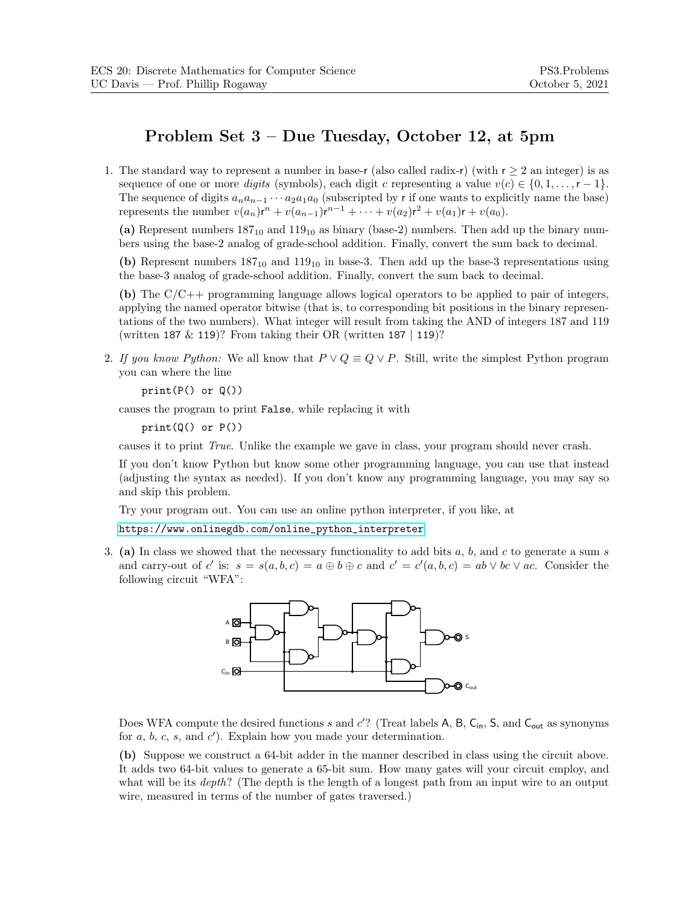## **Problem Set 3 – Due Tuesday, October 12, at 5pm**

1. The standard way to represent a number in base-r (also called radix-r) (with  $r \geq 2$  an integer) is as sequence of one or more *digits* (symbols), each digit c representing a value  $v(c) \in \{0, 1, \ldots, r-1\}$ . The sequence of digits  $a_na_{n-1} \cdots a_2a_1a_0$  (subscripted by r if one wants to explicitly name the base) represents the number  $v(a_n)r^n + v(a_{n-1})r^{n-1} + \cdots + v(a_2)r^2 + v(a_1)r + v(a_0)$ .

(a) Represent numbers  $187_{10}$  and  $119_{10}$  as binary (base-2) numbers. Then add up the binary numbers using the base-2 analog of grade-school addition. Finally, convert the sum back to decimal.

**(b)** Represent numbers  $187_{10}$  and  $119_{10}$  in base-3. Then add up the base-3 representations using the base-3 analog of grade-school addition. Finally, convert the sum back to decimal.

**(b)** The C/C++ programming language allows logical operators to be applied to pair of integers, applying the named operator bitwise (that is, to corresponding bit positions in the binary representations of the two numbers). What integer will result from taking the AND of integers 187 and 119 (written 187  $& 119$ )? From taking their OR (written 187 | 119)?

2. If you know Python: We all know that  $P \vee Q \equiv Q \vee P$ . Still, write the simplest Python program you can where the line

 $print(P()$  or  $Q()$ 

causes the program to print False, while replacing it with

 $print(Q()$  or  $P()$ 

causes it to print *True*. Unlike the example we gave in class, your program should never crash.

If you don't know Python but know some other programming language, you can use that instead (adjusting the syntax as needed). If you don't know any programming language, you may say so and skip this problem.

Try your program out. You can use an online python interpreter, if you like, at

[https://www.onlinegdb.com/online\\_python\\_interpreter](https://www.onlinegdb.com/online_python_interpreter)

3. (a) In class we showed that the necessary functionality to add bits  $a, b$ , and  $c$  to generate a sum s and carry-out of c' is:  $s = s(a, b, c) = a \oplus b \oplus c$  and  $c' = c'(a, b, c) = ab \vee bc \vee ac$ . Consider the following circuit "WFA":



Does WFA compute the desired functions s and  $c'$ ? (Treat labels A, B, C<sub>in</sub>, S, and C<sub>out</sub> as synonyms for  $a, b, c, s$ , and  $c'$ ). Explain how you made your determination.

**(b)** Suppose we construct a 64-bit adder in the manner described in class using the circuit above. It adds two 64-bit values to generate a 65-bit sum. How many gates will your circuit employ, and what will be its *depth*? (The depth is the length of a longest path from an input wire to an output wire, measured in terms of the number of gates traversed.)